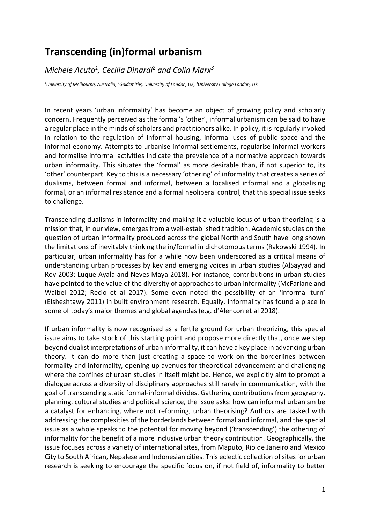# **Transcending (in)formal urbanism**

# *Michele Acuto1 , Cecilia Dinardi2 and Colin Marx3*

*1University of Melbourne, Australia, 2Goldsmiths, University of London, UK, 3University College London, UK*

In recent years 'urban informality' has become an object of growing policy and scholarly concern. Frequently perceived as the formal's 'other', informal urbanism can be said to have a regular place in the minds of scholars and practitioners alike. In policy, it is regularly invoked in relation to the regulation of informal housing, informal uses of public space and the informal economy. Attempts to urbanise informal settlements, regularise informal workers and formalise informal activities indicate the prevalence of a normative approach towards urban informality. This situates the 'formal' as more desirable than, if not superior to, its 'other' counterpart. Key to this is a necessary 'othering' of informality that creates a series of dualisms, between formal and informal, between a localised informal and a globalising formal, or an informal resistance and a formal neoliberal control, that this special issue seeks to challenge.

Transcending dualisms in informality and making it a valuable locus of urban theorizing is a mission that, in our view, emerges from a well-established tradition. Academic studies on the question of urban informality produced across the global North and South have long shown the limitations of inevitably thinking the in/formal in dichotomous terms (Rakowski 1994). In particular, urban informality has for a while now been underscored as a critical means of understanding urban processes by key and emerging voices in urban studies (AlSayyad and Roy 2003; Luque-Ayala and Neves Maya 2018). For instance, contributions in urban studies have pointed to the value of the diversity of approaches to urban informality (McFarlane and Waibel 2012; Recio et al 2017). Some even noted the possibility of an 'informal turn' (Elsheshtawy 2011) in built environment research. Equally, informality has found a place in some of today's major themes and global agendas (e.g. d'Alençon et al 2018).

If urban informality is now recognised as a fertile ground for urban theorizing, this special issue aims to take stock of this starting point and propose more directly that, once we step beyond dualist interpretations of urban informality, it can have a key place in advancing urban theory. It can do more than just creating a space to work on the borderlines between formality and informality, opening up avenues for theoretical advancement and challenging where the confines of urban studies in itself might be. Hence, we explicitly aim to prompt a dialogue across a diversity of disciplinary approaches still rarely in communication, with the goal of transcending static formal-informal divides. Gathering contributions from geography, planning, cultural studies and political science, the issue asks: how can informal urbanism be a catalyst for enhancing, where not reforming, urban theorising? Authors are tasked with addressing the complexities of the borderlands between formal and informal, and the special issue as a whole speaks to the potential for moving beyond ('transcending') the othering of informality for the benefit of a more inclusive urban theory contribution. Geographically, the issue focuses across a variety of international sites, from Maputo, Rio de Janeiro and Mexico City to South African, Nepalese and Indonesian cities. This eclectic collection of sites for urban research is seeking to encourage the specific focus on, if not field of, informality to better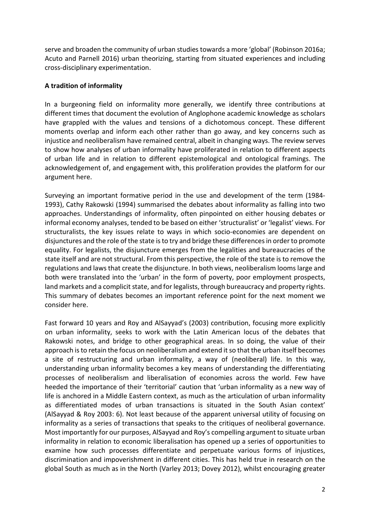serve and broaden the community of urban studies towards a more 'global' (Robinson 2016a; Acuto and Parnell 2016) urban theorizing, starting from situated experiences and including cross-disciplinary experimentation.

# **A tradition of informality**

In a burgeoning field on informality more generally, we identify three contributions at different times that document the evolution of Anglophone academic knowledge as scholars have grappled with the values and tensions of a dichotomous concept. These different moments overlap and inform each other rather than go away, and key concerns such as injustice and neoliberalism have remained central, albeit in changing ways. The review serves to show how analyses of urban informality have proliferated in relation to different aspects of urban life and in relation to different epistemological and ontological framings. The acknowledgement of, and engagement with, this proliferation provides the platform for our argument here.

Surveying an important formative period in the use and development of the term (1984- 1993), Cathy Rakowski (1994) summarised the debates about informality as falling into two approaches. Understandings of informality, often pinpointed on either housing debates or informal economy analyses, tended to be based on either 'structuralist' or 'legalist' views. For structuralists, the key issues relate to ways in which socio-economies are dependent on disjunctures and the role of the state is to try and bridge these differences in order to promote equality. For legalists, the disjuncture emerges from the legalities and bureaucracies of the state itself and are not structural. From this perspective, the role of the state is to remove the regulations and laws that create the disjuncture. In both views, neoliberalism looms large and both were translated into the 'urban' in the form of poverty, poor employment prospects, land markets and a complicit state, and for legalists, through bureaucracy and property rights. This summary of debates becomes an important reference point for the next moment we consider here.

Fast forward 10 years and Roy and AlSayyad's (2003) contribution, focusing more explicitly on urban informality, seeks to work with the Latin American locus of the debates that Rakowski notes, and bridge to other geographical areas. In so doing, the value of their approach is to retain the focus on neoliberalism and extend it so that the urban itself becomes a site of restructuring and urban informality, a way of (neoliberal) life. In this way, understanding urban informality becomes a key means of understanding the differentiating processes of neoliberalism and liberalisation of economies across the world. Few have heeded the importance of their 'territorial' caution that 'urban informality as a new way of life is anchored in a Middle Eastern context, as much as the articulation of urban informality as differentiated modes of urban transactions is situated in the South Asian context' (AlSayyad & Roy 2003: 6). Not least because of the apparent universal utility of focusing on informality as a series of transactions that speaks to the critiques of neoliberal governance. Most importantly for our purposes, AlSayyad and Roy's compelling argument to situate urban informality in relation to economic liberalisation has opened up a series of opportunities to examine how such processes differentiate and perpetuate various forms of injustices, discrimination and impoverishment in different cities. This has held true in research on the global South as much as in the North (Varley 2013; Dovey 2012), whilst encouraging greater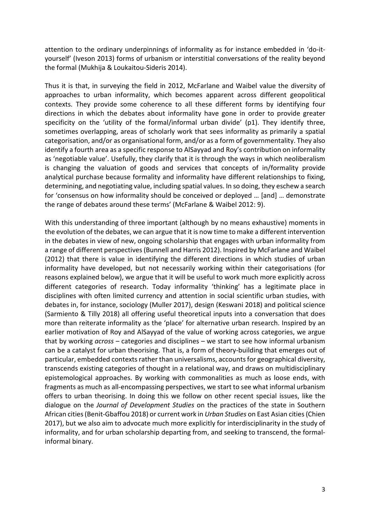attention to the ordinary underpinnings of informality as for instance embedded in 'do-ityourself' (Iveson 2013) forms of urbanism or interstitial conversations of the reality beyond the formal (Mukhija & Loukaitou-Sideris 2014).

Thus it is that, in surveying the field in 2012, McFarlane and Waibel value the diversity of approaches to urban informality, which becomes apparent across different geopolitical contexts. They provide some coherence to all these different forms by identifying four directions in which the debates about informality have gone in order to provide greater specificity on the 'utility of the formal/informal urban divide' (p1). They identify three, sometimes overlapping, areas of scholarly work that sees informality as primarily a spatial categorisation, and/or as organisational form, and/or as a form of governmentality. They also identify a fourth area as a specific response to AlSayyad and Roy's contribution on informality as 'negotiable value'. Usefully, they clarify that it is through the ways in which neoliberalism is changing the valuation of goods and services that concepts of in/formality provide analytical purchase because formality and informality have different relationships to fixing, determining, and negotiating value, including spatial values. In so doing, they eschew a search for 'consensus on how informality should be conceived or deployed … [and] … demonstrate the range of debates around these terms' (McFarlane & Waibel 2012: 9).

With this understanding of three important (although by no means exhaustive) moments in the evolution of the debates, we can argue that it is now time to make a different intervention in the debates in view of new, ongoing scholarship that engages with urban informality from a range of different perspectives(Bunnell and Harris 2012). Inspired by McFarlane and Waibel (2012) that there is value in identifying the different directions in which studies of urban informality have developed, but not necessarily working within their categorisations (for reasons explained below), we argue that it will be useful to work much more explicitly across different categories of research. Today informality 'thinking' has a legitimate place in disciplines with often limited currency and attention in social scientific urban studies, with debates in, for instance, sociology (Muller 2017), design (Keswani 2018) and political science (Sarmiento & Tilly 2018) all offering useful theoretical inputs into a conversation that does more than reiterate informality as the 'place' for alternative urban research. Inspired by an earlier motivation of Roy and AlSayyad of the value of working across categories, we argue that by working *across* – categories and disciplines – we start to see how informal urbanism can be a catalyst for urban theorising. That is, a form of theory-building that emerges out of particular, embedded contexts rather than universalisms, accounts for geographical diversity, transcends existing categories of thought in a relational way, and draws on multidisciplinary epistemological approaches. By working with commonalities as much as loose ends, with fragments as much as all-encompassing perspectives, we start to see what informal urbanism offers to urban theorising. In doing this we follow on other recent special issues, like the dialogue on the *Journal of Development Studies* on the practices of the state in Southern African cities (Benit-Gbaffou 2018) or current work in *Urban Studies* on East Asian cities (Chien 2017), but we also aim to advocate much more explicitly for interdisciplinarity in the study of informality, and for urban scholarship departing from, and seeking to transcend, the formalinformal binary.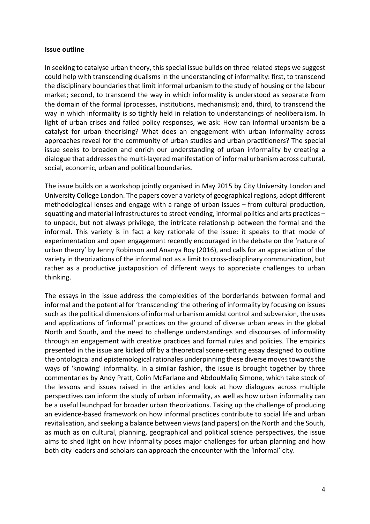#### **Issue outline**

<span id="page-3-1"></span><span id="page-3-0"></span>In seeking to catalyse urban theory, this special issue builds on three related steps we suggest could help with transcending dualisms in the understanding of informality: first, to transcend the disciplinary boundaries that limit informal urbanism to the study of housing or the labour market; second, to transcend the way in which informality is understood as separate from the domain of the formal (processes, institutions, mechanisms); and, third, to transcend the way in which informality is so tightly held in relation to understandings of neoliberalism. In light of urban crises and failed policy responses, we ask: How can informal urbanism be a catalyst for urban theorising? What does an engagement with urban informality across approaches reveal for the community of urban studies and urban practitioners? The special issue seeks to broaden and enrich our understanding of urban informality by creating a dialogue that addresses the multi-layered manifestation of informal urbanism across cultural, social, economic, urban and political boundaries.

The issue builds on a workshop jointly organised in May 2015 by City University London and University College London. The papers cover a variety of geographical regions, adopt different methodological lenses and engage with a range of urban issues – from cultural production, squatting and material infrastructures to street vending, informal politics and arts practices – to unpack, but not always privilege, the intricate relationship between the formal and the informal. This variety is in fact a key rationale of the issue: it speaks to that mode of experimentation and open engagement recently encouraged in the debate on the 'nature of urban theory' by Jenny Robinson and Ananya Roy (2016), and calls for an appreciation of the variety in theorizations of the informal not as a limit to cross-disciplinary communication, but rather as a productive juxtaposition of different ways to appreciate challenges to urban thinking.

The essays in the issue address the complexities of the borderlands between formal and informal and the potential for 'transcending' the othering of informality by focusing on issues such as the political dimensions of informal urbanism amidst control and subversion, the uses and applications of 'informal' practices on the ground of diverse urban areas in the global North and South, and the need to challenge understandings and discourses of informality through an engagement with creative practices and formal rules and policies. The empirics presented in the issue are kicked off by a theoretical scene-setting essay designed to outline the ontological and epistemological rationales underpinning these diverse moves towards the ways of 'knowing' informality. In a similar fashion, the issue is brought together by three commentaries by Andy Pratt, Colin McFarlane and AbdouMaliq Simone, which take stock of the lessons and issues raised in the articles and look at how dialogues across multiple perspectives can inform the study of urban informality, as well as how urban informality can be a useful launchpad for broader urban theorizations. Taking up the challenge of producing an evidence-based framework on how informal practices contribute to social life and urban revitalisation, and seeking a balance between views (and papers) on the North and the South, as much as on cultural, planning, geographical and political science perspectives, the issue aims to shed light on how informality poses major challenges for urban planning and how both city leaders and scholars can approach the encounter with the 'informal' city.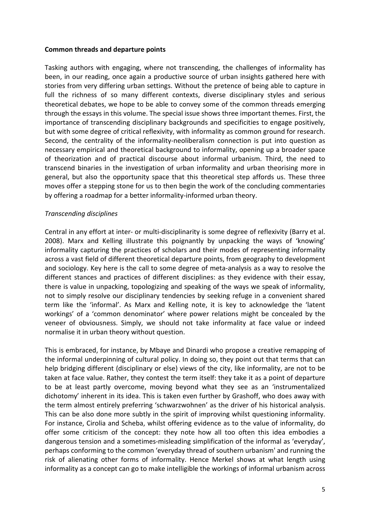#### **Common threads and departure points**

Tasking authors with engaging, where not transcending, the challenges of informality has been, in our reading, once again a productive source of urban insights gathered here with stories from very differing urban settings. Without the pretence of being able to capture in full the richness of so many different contexts, diverse disciplinary styles and serious theoretical debates, we hope to be able to convey some of the common threads emerging through the essays in this volume. The special issue shows three important themes. First, the importance of transcending disciplinary backgrounds and specificities to engage positively, but with some degree of critical reflexivity, with informality as common ground for research. Second, the centrality of the informality-neoliberalism connection is put into question as necessary empirical and theoretical background to informality, opening up a broader space of theorization and of practical discourse about informal urbanism. Third, the need to transcend binaries in the investigation of urban informality and urban theorising more in general, but also the opportunity space that this theoretical step affords us. These three moves offer a stepping stone for us to then begin the work of the concluding commentaries by offering a roadmap for a better informality-informed urban theory.

#### *Transcending disciplines*

Central in any effort at inter- or multi-disciplinarity is some degree of reflexivity (Barry et al. 2008). Marx and Kelling illustrate this poignantly by unpacking the ways of 'knowing' informality capturing the practices of scholars and their modes of representing informality across a vast field of different theoretical departure points, from geography to development and sociology. Key here is the call to some degree of meta-analysis as a way to resolve the different stances and practices of different disciplines: as they evidence with their essay, there is value in unpacking, topologizing and speaking of the ways we speak of informality, not to simply resolve our disciplinary tendencies by seeking refuge in a convenient shared term like the 'informal'. As Marx and Kelling note, it is key to acknowledge the 'latent workings' of a 'common denominator' where power relations might be concealed by the veneer of obviousness. Simply, we should not take informality at face value or indeed normalise it in urban theory without question.

This is embraced, for instance, by Mbaye and Dinardi who propose a creative remapping of the informal underpinning of cultural policy. In doing so, they point out that terms that can help bridging different (disciplinary or else) views of the city, like informality, are not to be taken at face value. Rather, they contest the term itself: they take it as a point of departure to be at least partly overcome, moving beyond what they see as an 'instrumentalized dichotomy' inherent in its idea. This is taken even further by Grashoff, who does away with the term almost entirely preferring 'schwarzwohnen' as the driver of his historical analysis. This can be also done more subtly in the spirit of improving whilst questioning informality. For instance, Cirolia and Scheba, whilst offering evidence as to the value of informality, do offer some criticism of the concept: they note how all too often this idea embodies a dangerous tension and a sometimes-misleading simplification of the informal as 'everyday', perhaps conforming to the common 'everyday thread of southern urbanism' and running the risk of alienating other forms of informality. Hence Merkel shows at what length using informality as a concept can go to make intelligible the workings of informal urbanism across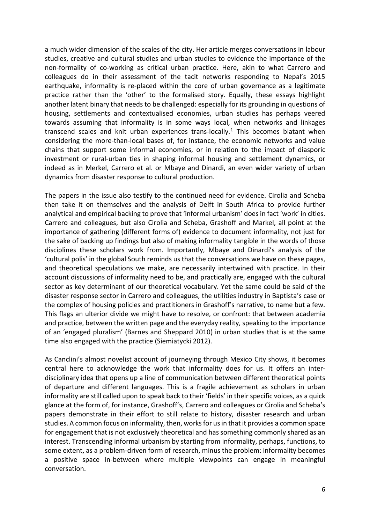a much wider dimension of the scales of the city. Her article merges conversations in labour studies, creative and cultural studies and urban studies to evidence the importance of the non-formality of co-working as critical urban practice. Here, akin to what Carrero and colleagues do in their assessment of the tacit networks responding to Nepal's 2015 earthquake, informality is re-placed within the core of urban governance as a legitimate practice rather than the 'other' to the formalised story. Equally, these essays highlight another latent binary that needs to be challenged: especially for its grounding in questions of housing, settlements and contextualised economies, urban studies has perhaps veered towards assuming that informality is in some ways local, when networks and linkages transcend scales and knit urban experiences trans-locally. [1](#page-3-0) This becomes blatant when considering the more-than-local bases of, for instance, the economic networks and value chains that support some informal economies, or in relation to the impact of diasporic investment or rural-urban ties in shaping informal housing and settlement dynamics, or indeed as in Merkel, Carrero et al. or Mbaye and Dinardi, an even wider variety of urban dynamics from disaster response to cultural production.

The papers in the issue also testify to the continued need for evidence. Cirolia and Scheba then take it on themselves and the analysis of Delft in South Africa to provide further analytical and empirical backing to prove that 'informal urbanism' does in fact 'work' in cities. Carrero and colleagues, but also Cirolia and Scheba, Grashoff and Markel, all point at the importance of gathering (different forms of) evidence to document informality, not just for the sake of backing up findings but also of making informality tangible in the words of those disciplines these scholars work from. Importantly, Mbaye and Dinardi's analysis of the 'cultural polis' in the global South reminds us that the conversations we have on these pages, and theoretical speculations we make, are necessarily intertwined with practice. In their account discussions of informality need to be, and practically are, engaged with the cultural sector as key determinant of our theoretical vocabulary. Yet the same could be said of the disaster response sector in Carrero and colleagues, the utilities industry in Baptista's case or the complex of housing policies and practitioners in Grashoff's narrative, to name but a few. This flags an ulterior divide we might have to resolve, or confront: that between academia and practice, between the written page and the everyday reality, speaking to the importance of an 'engaged pluralism' (Barnes and Sheppard 2010) in urban studies that is at the same time also engaged with the practice (Siemiatycki 2012).

As Canclini's almost novelist account of journeying through Mexico City shows, it becomes central here to acknowledge the work that informality does for us. It offers an interdisciplinary idea that opens up a line of communication between different theoretical points of departure and different languages. This is a fragile achievement as scholars in urban informality are still called upon to speak back to their 'fields' in their specific voices, as a quick glance at the form of, for instance, Grashoff's, Carrero and colleagues or Cirolia and Scheba's papers demonstrate in their effort to still relate to history, disaster research and urban studies. A common focus on informality, then, works for us in that it provides a common space for engagement that is not exclusively theoretical and has something commonly shared as an interest. Transcending informal urbanism by starting from informality, perhaps, functions, to some extent, as a problem-driven form of research, minus the problem: informality becomes a positive space in-between where multiple viewpoints can engage in meaningful conversation.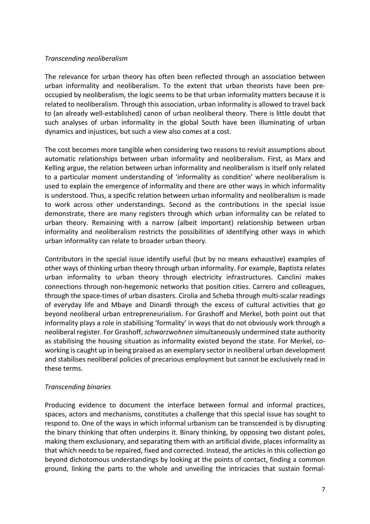#### *Transcending neoliberalism*

The relevance for urban theory has often been reflected through an association between urban informality and neoliberalism. To the extent that urban theorists have been preoccupied by neoliberalism, the logic seems to be that urban informality matters because it is related to neoliberalism. Through this association, urban informality is allowed to travel back to (an already well-established) canon of urban neoliberal theory. There is little doubt that such analyses of urban informality in the global South have been illuminating of urban dynamics and injustices, but such a view also comes at a cost.

The cost becomes more tangible when considering two reasons to revisit assumptions about automatic relationships between urban informality and neoliberalism. First, as Marx and Kelling argue, the relation between urban informality and neoliberalism is itself only related to a particular moment understanding of 'informality as condition' where neoliberalism is used to explain the emergence of informality and there are other ways in which informality is understood. Thus, a specific relation between urban informality and neoliberalism is made to work across other understandings. Second as the contributions in the special issue demonstrate, there are many registers through which urban informality can be related to urban theory. Remaining with a narrow (albeit important) relationship between urban informality and neoliberalism restricts the possibilities of identifying other ways in which urban informality can relate to broader urban theory.

Contributors in the special issue identify useful (but by no means exhaustive) examples of other ways of thinking urban theory through urban informality. For example, Baptista relates urban informality to urban theory through electricity infrastructures. Canclini makes connections through non-hegemonic networks that position cities. Carrero and colleagues, through the space-times of urban disasters. Cirolia and Scheba through multi-scalar readings of everyday life and Mbaye and Dinardi through the excess of cultural activities that go beyond neoliberal urban entrepreneurialism. For Grashoff and Merkel, both point out that informality plays a role in stabilising 'formality' in ways that do not obviously work through a neoliberal register. For Grashoff, *schwarzwohnen* simultaneously undermined state authority as stabilising the housing situation as informality existed beyond the state. For Merkel, coworking is caught up in being praised as an exemplary sector in neoliberal urban development and stabilises neoliberal policies of precarious employment but cannot be exclusively read in these terms.

# *Transcending binaries*

Producing evidence to document the interface between formal and informal practices, spaces, actors and mechanisms, constitutes a challenge that this special issue has sought to respond to. One of the ways in which informal urbanism can be transcended is by disrupting the binary thinking that often underpins it. Binary thinking, by opposing two distant poles, making them exclusionary, and separating them with an artificial divide, places informality as that which needs to be repaired, fixed and corrected. Instead, the articles in this collection go beyond dichotomous understandings by looking at the points of contact, finding a common ground, linking the parts to the whole and unveiling the intricacies that sustain formal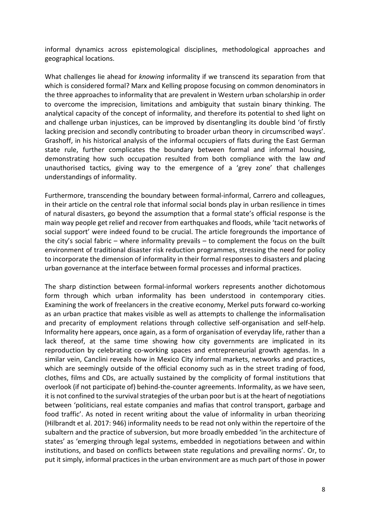informal dynamics across epistemological disciplines, methodological approaches and geographical locations.

What challenges lie ahead for *knowing* informality if we transcend its separation from that which is considered formal? Marx and Kelling propose focusing on common denominators in the three approaches to informality that are prevalent in Western urban scholarship in order to overcome the imprecision, limitations and ambiguity that sustain binary thinking. The analytical capacity of the concept of informality, and therefore its potential to shed light on and challenge urban injustices, can be improved by disentangling its double bind 'of firstly lacking precision and secondly contributing to broader urban theory in circumscribed ways'. Grashoff, in his historical analysis of the informal occupiers of flats during the East German state rule, further complicates the boundary between formal and informal housing, demonstrating how such occupation resulted from both compliance with the law *and* unauthorised tactics, giving way to the emergence of a 'grey zone' that challenges understandings of informality.

Furthermore, transcending the boundary between formal-informal, Carrero and colleagues, in their article on the central role that informal social bonds play in urban resilience in times of natural disasters, go beyond the assumption that a formal state's official response is the main way people get relief and recover from earthquakes and floods, while 'tacit networks of social support' were indeed found to be crucial. The article foregrounds the importance of the city's social fabric – where informality prevails – to complement the focus on the built environment of traditional disaster risk reduction programmes, stressing the need for policy to incorporate the dimension of informality in their formal responses to disasters and placing urban governance at the interface between formal processes and informal practices.

The sharp distinction between formal-informal workers represents another dichotomous form through which urban informality has been understood in contemporary cities. Examining the work of freelancers in the creative economy, Merkel puts forward co-working as an urban practice that makes visible as well as attempts to challenge the informalisation and precarity of employment relations through collective self-organisation and self-help. Informality here appears, once again, as a form of organisation of everyday life, rather than a lack thereof, at the same time showing how city governments are implicated in its reproduction by celebrating co-working spaces and entrepreneurial growth agendas. In a similar vein, Canclini reveals how in Mexico City informal markets, networks and practices, which are seemingly outside of the official economy such as in the street trading of food, clothes, films and CDs, are actually sustained by the complicity of formal institutions that overlook (if not participate of) behind-the-counter agreements. Informality, as we have seen, it is not confined to the survival strategies of the urban poor but is at the heart of negotiations between 'politicians, real estate companies and mafias that control transport, garbage and food traffic'. As noted in recent writing about the value of informality in urban theorizing (Hilbrandt et al. 2017: 946) informality needs to be read not only within the repertoire of the subaltern and the practice of subversion, but more broadly embedded 'in the architecture of states' as 'emerging through legal systems, embedded in negotiations between and within institutions, and based on conflicts between state regulations and prevailing norms'. Or, to put it simply, informal practices in the urban environment are as much part of those in power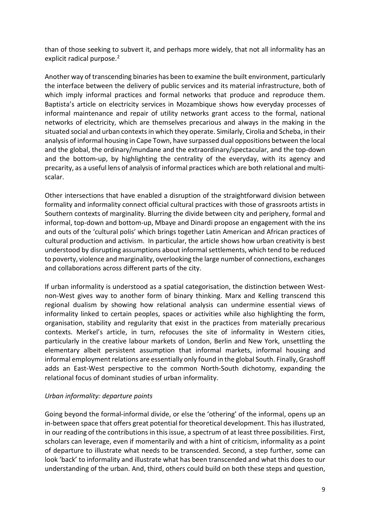than of those seeking to subvert it, and perhaps more widely, that not all informality has an explicit radical purpose.<sup>2</sup>

Another way of transcending binaries has been to examine the built environment, particularly the interface between the delivery of public services and its material infrastructure, both of which imply informal practices and formal networks that produce and reproduce them. Baptista's article on electricity services in Mozambique shows how everyday processes of informal maintenance and repair of utility networks grant access to the formal, national networks of electricity, which are themselves precarious and always in the making in the situated social and urban contexts in which they operate. Similarly, Cirolia and Scheba, in their analysis of informal housing in Cape Town, have surpassed dual oppositions between the local and the global, the ordinary/mundane and the extraordinary/spectacular, and the top-down and the bottom-up, by highlighting the centrality of the everyday, with its agency and precarity, as a useful lens of analysis of informal practices which are both relational and multiscalar.

Other intersections that have enabled a disruption of the straightforward division between formality and informality connect official cultural practices with those of grassroots artists in Southern contexts of marginality. Blurring the divide between city and periphery, formal and informal, top-down and bottom-up, Mbaye and Dinardi propose an engagement with the ins and outs of the 'cultural polis' which brings together Latin American and African practices of cultural production and activism. In particular, the article shows how urban creativity is best understood by disrupting assumptions about informal settlements, which tend to be reduced to poverty, violence and marginality, overlooking the large number of connections, exchanges and collaborations across different parts of the city.

If urban informality is understood as a spatial categorisation, the distinction between Westnon-West gives way to another form of binary thinking. Marx and Kelling transcend this regional dualism by showing how relational analysis can undermine essential views of informality linked to certain peoples, spaces or activities while also highlighting the form, organisation, stability and regularity that exist in the practices from materially precarious contexts. Merkel's article, in turn, refocuses the site of informality in Western cities, particularly in the creative labour markets of London, Berlin and New York, unsettling the elementary albeit persistent assumption that informal markets, informal housing and informal employment relations are essentially only found in the global South. Finally, Grashoff adds an East-West perspective to the common North-South dichotomy, expanding the relational focus of dominant studies of urban informality.

# *Urban informality: departure points*

Going beyond the formal-informal divide, or else the 'othering' of the informal, opens up an in-between space that offers great potential for theoretical development. This has illustrated, in our reading of the contributions in this issue, a spectrum of at least three possibilities. First, scholars can leverage, even if momentarily and with a hint of criticism, informality as a point of departure to illustrate what needs to be transcended. Second, a step further, some can look 'back' to informality and illustrate what has been transcended and what this does to our understanding of the urban. And, third, others could build on both these steps and question,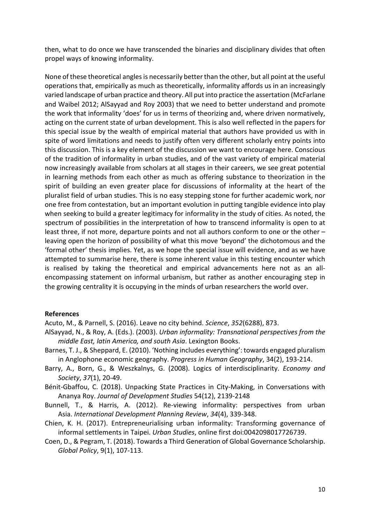then, what to do once we have transcended the binaries and disciplinary divides that often propel ways of knowing informality.

None of these theoretical angles is necessarily better than the other, but all point at the useful operations that, empirically as much as theoretically, informality affords us in an increasingly varied landscape of urban practice and theory. All put into practice the assertation (McFarlane and Waibel 2012; AlSayyad and Roy 2003) that we need to better understand and promote the work that informality 'does' for us in terms of theorizing and, where driven normatively, acting on the current state of urban development. This is also well reflected in the papers for this special issue by the wealth of empirical material that authors have provided us with in spite of word limitations and needs to justify often very different scholarly entry points into this discussion. This is a key element of the discussion we want to encourage here. Conscious of the tradition of informality in urban studies, and of the vast variety of empirical material now increasingly available from scholars at all stages in their careers, we see great potential in learning methods from each other as much as offering substance to theorization in the spirit of building an even greater place for discussions of informality at the heart of the pluralist field of urban studies. This is no easy stepping stone for further academic work, nor one free from contestation, but an important evolution in putting tangible evidence into play when seeking to build a greater legitimacy for informality in the study of cities. As noted, the spectrum of possibilities in the interpretation of how to transcend informality is open to at least three, if not more, departure points and not all authors conform to one or the other – leaving open the horizon of possibility of what this move 'beyond' the dichotomous and the 'formal other' thesis implies. Yet, as we hope the special issue will evidence, and as we have attempted to summarise here, there is some inherent value in this testing encounter which is realised by taking the theoretical and empirical advancements here not as an allencompassing statement on informal urbanism, but rather as another encouraging step in the growing centrality it is occupying in the minds of urban researchers the world over.

#### **References**

Acuto, M., & Parnell, S. (2016). Leave no city behind. *Science*, *352*(6288), 873.

- AlSayyad, N., & Roy, A. (Eds.). (2003). *Urban informality: Transnational perspectives from the middle East, latin America, and south Asia*. Lexington Books.
- Barnes, T. J., & Sheppard, E. (2010). 'Nothing includes everything': towards engaged pluralism in Anglophone economic geography. *Progress in Human Geography*, 34(2), 193-214.
- Barry, A., Born, G., & Weszkalnys, G. (2008). Logics of interdisciplinarity. *Economy and Society*, *37*(1), 20-49.
- Bénit-Gbaffou, C. (2018). Unpacking State Practices in City-Making, in Conversations with Ananya Roy. *Journal of Development Studies* 54(12), 2139-2148
- Bunnell, T., & Harris, A. (2012). Re-viewing informality: perspectives from urban Asia. *International Development Planning Review*, *34*(4), 339-348.
- Chien, K. H. (2017). Entrepreneurialising urban informality: Transforming governance of informal settlements in Taipei. *Urban Studies*, online first doi:0042098017726739.
- Coen, D., & Pegram, T. (2018). Towards a Third Generation of Global Governance Scholarship. *Global Policy*, 9(1), 107-113.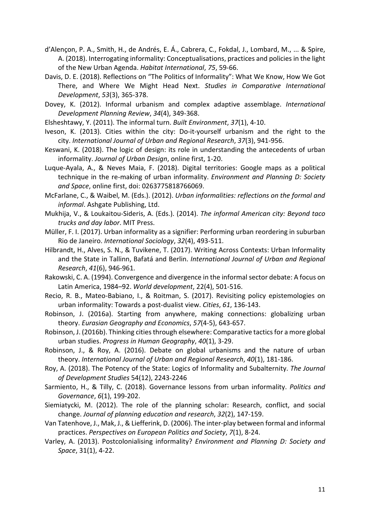- d'Alençon, P. A., Smith, H., de Andrés, E. Á., Cabrera, C., Fokdal, J., Lombard, M., ... & Spire, A. (2018). Interrogating informality: Conceptualisations, practices and policies in the light of the New Urban Agenda. *Habitat International*, *75*, 59-66.
- Davis, D. E. (2018). Reflections on "The Politics of Informality": What We Know, How We Got There, and Where We Might Head Next. *Studies in Comparative International Development*, *53*(3), 365-378.
- Dovey, K. (2012). Informal urbanism and complex adaptive assemblage. *International Development Planning Review*, *34*(4), 349-368.
- Elsheshtawy, Y. (2011). The informal turn. *Built Environment*, *37*(1), 4-10.
- Iveson, K. (2013). Cities within the city: Do-it-yourself urbanism and the right to the city. *International Journal of Urban and Regional Research*, *37*(3), 941-956.
- Keswani, K. (2018). The logic of design: its role in understanding the antecedents of urban informality. *Journal of Urban Design*, online first, 1-20.
- Luque-Ayala, A., & Neves Maia, F. (2018). Digital territories: Google maps as a political technique in the re-making of urban informality. *Environment and Planning D: Society and Space*, online first, doi: 0263775818766069.
- McFarlane, C., & Waibel, M. (Eds.). (2012). *Urban informalities: reflections on the formal and informal*. Ashgate Publishing, Ltd.
- Mukhija, V., & Loukaitou-Sideris, A. (Eds.). (2014). *The informal American city: Beyond taco trucks and day labor*. MIT Press.
- Müller, F. I. (2017). Urban informality as a signifier: Performing urban reordering in suburban Rio de Janeiro. *International Sociology*, *32*(4), 493-511.
- Hilbrandt, H., Alves, S. N., & Tuvikene, T. (2017). Writing Across Contexts: Urban Informality and the State in Tallinn, Bafatá and Berlin. *International Journal of Urban and Regional Research*, *41*(6), 946-961.
- Rakowski, C. A. (1994). Convergence and divergence in the informal sector debate: A focus on Latin America, 1984–92. *World development*, 22(4), 501-516.
- Recio, R. B., Mateo-Babiano, I., & Roitman, S. (2017). Revisiting policy epistemologies on urban informality: Towards a post-dualist view. *Cities*, *61*, 136-143.
- Robinson, J. (2016a). Starting from anywhere, making connections: globalizing urban theory. *Eurasian Geography and Economics*, *57*(4-5), 643-657.
- Robinson, J. (2016b). Thinking cities through elsewhere: Comparative tactics for a more global urban studies. *Progress in Human Geography*, *40*(1), 3-29.
- Robinson, J., & Roy, A. (2016). Debate on global urbanisms and the nature of urban theory. *International Journal of Urban and Regional Research*, *40*(1), 181-186.
- Roy, A. (2018). The Potency of the State: Logics of Informality and Subalternity. *The Journal of Development Studies* 54(12), 2243-2246
- Sarmiento, H., & Tilly, C. (2018). Governance lessons from urban informality. *Politics and Governance*, *6*(1), 199-202.
- Siemiatycki, M. (2012). The role of the planning scholar: Research, conflict, and social change. *Journal of planning education and research*, *32*(2), 147-159.
- Van Tatenhove, J., Mak, J., & Liefferink, D. (2006). The inter-play between formal and informal practices. *Perspectives on European Politics and Society*, *7*(1), 8-24.
- Varley, A. (2013). Postcolonialising informality? *Environment and Planning D: Society and Space*, 31(1), 4-22.